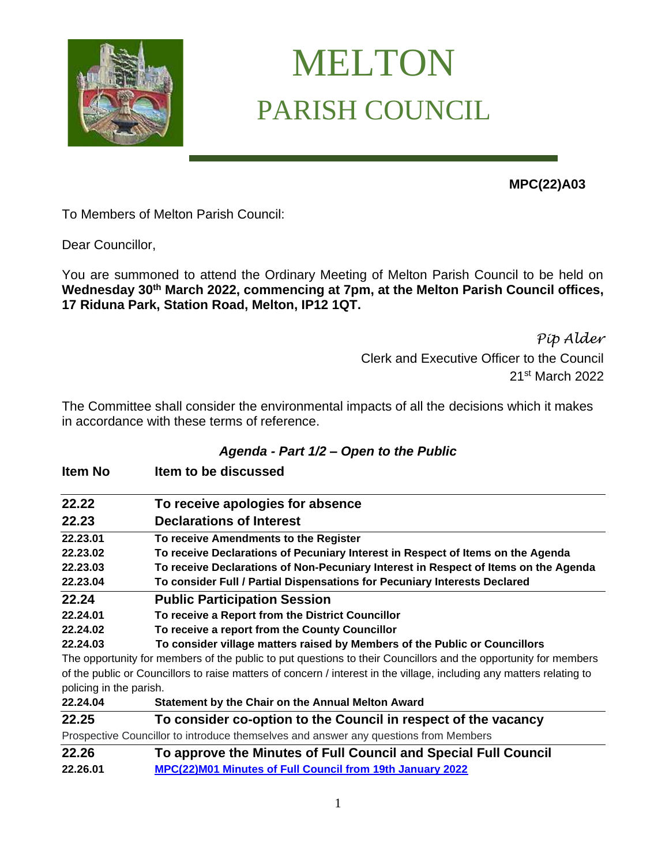

# MELTON PARISH COUNCIL

**MPC(22)A03** 

To Members of Melton Parish Council:

Dear Councillor,

You are summoned to attend the Ordinary Meeting of Melton Parish Council to be held on **Wednesday 30th March 2022, commencing at 7pm, at the Melton Parish Council offices, 17 Riduna Park, Station Road, Melton, IP12 1QT.** 

> *Pip Alder* Clerk and Executive Officer to the Council 21st March 2022

The Committee shall consider the environmental impacts of all the decisions which it makes in accordance with these terms of reference.

## *Agenda - Part 1/2 – Open to the Public*

| <b>Item No</b>          | Item to be discussed                                                                                                  |
|-------------------------|-----------------------------------------------------------------------------------------------------------------------|
| 22.22                   | To receive apologies for absence                                                                                      |
| 22.23                   | <b>Declarations of Interest</b>                                                                                       |
| 22.23.01                | To receive Amendments to the Register                                                                                 |
| 22.23.02                | To receive Declarations of Pecuniary Interest in Respect of Items on the Agenda                                       |
| 22.23.03                | To receive Declarations of Non-Pecuniary Interest in Respect of Items on the Agenda                                   |
| 22.23.04                | To consider Full / Partial Dispensations for Pecuniary Interests Declared                                             |
| 22.24                   | <b>Public Participation Session</b>                                                                                   |
| 22.24.01                | To receive a Report from the District Councillor                                                                      |
| 22.24.02                | To receive a report from the County Councillor                                                                        |
| 22.24.03                | To consider village matters raised by Members of the Public or Councillors                                            |
|                         | The opportunity for members of the public to put questions to their Councillors and the opportunity for members       |
|                         | of the public or Councillors to raise matters of concern / interest in the village, including any matters relating to |
| policing in the parish. |                                                                                                                       |
| 22.24.04                | Statement by the Chair on the Annual Melton Award                                                                     |
| 22.25                   | To consider co-option to the Council in respect of the vacancy                                                        |
|                         | Prospective Councillor to introduce themselves and answer any questions from Members                                  |
| 22.26                   | To approve the Minutes of Full Council and Special Full Council                                                       |
| 22.26.01                | MPC(22)M01 Minutes of Full Council from 19th January 2022                                                             |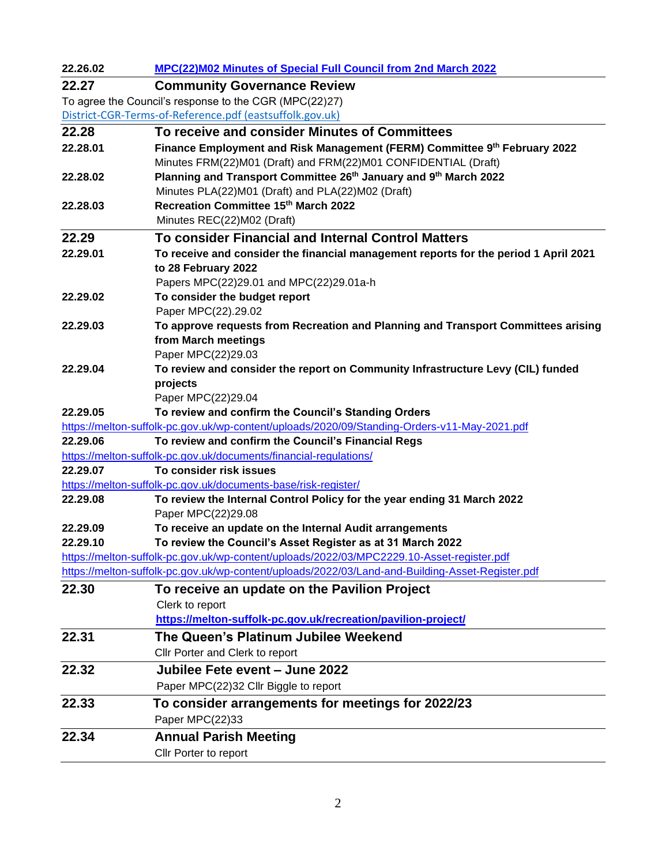| 22.26.02 | MPC(22)M02 Minutes of Special Full Council from 2nd March 2022                                   |
|----------|--------------------------------------------------------------------------------------------------|
| 22.27    | <b>Community Governance Review</b>                                                               |
|          | To agree the Council's response to the CGR (MPC(22)27)                                           |
|          | District-CGR-Terms-of-Reference.pdf (eastsuffolk.gov.uk)                                         |
| 22.28    | To receive and consider Minutes of Committees                                                    |
| 22.28.01 | Finance Employment and Risk Management (FERM) Committee 9 <sup>th</sup> February 2022            |
|          | Minutes FRM(22)M01 (Draft) and FRM(22)M01 CONFIDENTIAL (Draft)                                   |
| 22.28.02 | Planning and Transport Committee 26th January and 9th March 2022                                 |
|          | Minutes PLA(22)M01 (Draft) and PLA(22)M02 (Draft)                                                |
| 22.28.03 | Recreation Committee 15th March 2022                                                             |
|          | Minutes REC(22)M02 (Draft)                                                                       |
| 22.29    | To consider Financial and Internal Control Matters                                               |
| 22.29.01 | To receive and consider the financial management reports for the period 1 April 2021             |
|          | to 28 February 2022                                                                              |
|          | Papers MPC(22)29.01 and MPC(22)29.01a-h                                                          |
| 22.29.02 | To consider the budget report<br>Paper MPC(22).29.02                                             |
| 22.29.03 | To approve requests from Recreation and Planning and Transport Committees arising                |
|          | from March meetings                                                                              |
|          | Paper MPC(22)29.03                                                                               |
| 22.29.04 | To review and consider the report on Community Infrastructure Levy (CIL) funded                  |
|          | projects                                                                                         |
|          | Paper MPC(22)29.04                                                                               |
| 22.29.05 | To review and confirm the Council's Standing Orders                                              |
|          | https://melton-suffolk-pc.gov.uk/wp-content/uploads/2020/09/Standing-Orders-v11-May-2021.pdf     |
| 22.29.06 | To review and confirm the Council's Financial Regs                                               |
|          | https://melton-suffolk-pc.gov.uk/documents/financial-regulations/                                |
| 22.29.07 | To consider risk issues                                                                          |
|          | https://melton-suffolk-pc.gov.uk/documents-base/risk-register/                                   |
| 22.29.08 | To review the Internal Control Policy for the year ending 31 March 2022                          |
| 22.29.09 | Paper MPC(22)29.08<br>To receive an update on the Internal Audit arrangements                    |
| 22.29.10 | To review the Council's Asset Register as at 31 March 2022                                       |
|          | https://melton-suffolk-pc.gov.uk/wp-content/uploads/2022/03/MPC2229.10-Asset-register.pdf        |
|          | https://melton-suffolk-pc.gov.uk/wp-content/uploads/2022/03/Land-and-Building-Asset-Register.pdf |
| 22.30    | To receive an update on the Pavilion Project                                                     |
|          | Clerk to report                                                                                  |
|          | https://melton-suffolk-pc.gov.uk/recreation/pavilion-project/                                    |
| 22.31    | The Queen's Platinum Jubilee Weekend                                                             |
|          | Cllr Porter and Clerk to report                                                                  |
|          | Jubilee Fete event - June 2022                                                                   |
| 22.32    |                                                                                                  |
|          | Paper MPC(22)32 Cllr Biggle to report                                                            |
| 22.33    | To consider arrangements for meetings for 2022/23                                                |
|          | Paper MPC(22)33                                                                                  |
| 22.34    | <b>Annual Parish Meeting</b>                                                                     |
|          | Cllr Porter to report                                                                            |